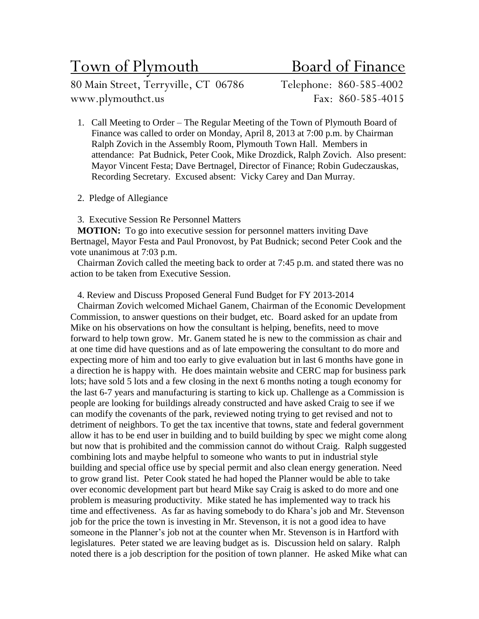# Town of Plymouth Board of Finance

80 Main Street, Terryville, CT 06786 Telephone: 860-585-4002 www.plymouthct.us Fax: 860-585-4015

- 1. Call Meeting to Order The Regular Meeting of the Town of Plymouth Board of Finance was called to order on Monday, April 8, 2013 at 7:00 p.m. by Chairman Ralph Zovich in the Assembly Room, Plymouth Town Hall. Members in attendance: Pat Budnick, Peter Cook, Mike Drozdick, Ralph Zovich. Also present: Mayor Vincent Festa; Dave Bertnagel, Director of Finance; Robin Gudeczauskas, Recording Secretary. Excused absent: Vicky Carey and Dan Murray.
- 2. Pledge of Allegiance

3. Executive Session Re Personnel Matters

**MOTION:** To go into executive session for personnel matters inviting Dave Bertnagel, Mayor Festa and Paul Pronovost, by Pat Budnick; second Peter Cook and the vote unanimous at 7:03 p.m.

Chairman Zovich called the meeting back to order at 7:45 p.m. and stated there was no action to be taken from Executive Session.

4. Review and Discuss Proposed General Fund Budget for FY 2013-2014

Chairman Zovich welcomed Michael Ganem, Chairman of the Economic Development Commission, to answer questions on their budget, etc. Board asked for an update from Mike on his observations on how the consultant is helping, benefits, need to move forward to help town grow. Mr. Ganem stated he is new to the commission as chair and at one time did have questions and as of late empowering the consultant to do more and expecting more of him and too early to give evaluation but in last 6 months have gone in a direction he is happy with. He does maintain website and CERC map for business park lots; have sold 5 lots and a few closing in the next 6 months noting a tough economy for the last 6-7 years and manufacturing is starting to kick up. Challenge as a Commission is people are looking for buildings already constructed and have asked Craig to see if we can modify the covenants of the park, reviewed noting trying to get revised and not to detriment of neighbors. To get the tax incentive that towns, state and federal government allow it has to be end user in building and to build building by spec we might come along but now that is prohibited and the commission cannot do without Craig. Ralph suggested combining lots and maybe helpful to someone who wants to put in industrial style building and special office use by special permit and also clean energy generation. Need to grow grand list. Peter Cook stated he had hoped the Planner would be able to take over economic development part but heard Mike say Craig is asked to do more and one problem is measuring productivity. Mike stated he has implemented way to track his time and effectiveness. As far as having somebody to do Khara's job and Mr. Stevenson job for the price the town is investing in Mr. Stevenson, it is not a good idea to have someone in the Planner's job not at the counter when Mr. Stevenson is in Hartford with legislatures. Peter stated we are leaving budget as is. Discussion held on salary. Ralph noted there is a job description for the position of town planner. He asked Mike what can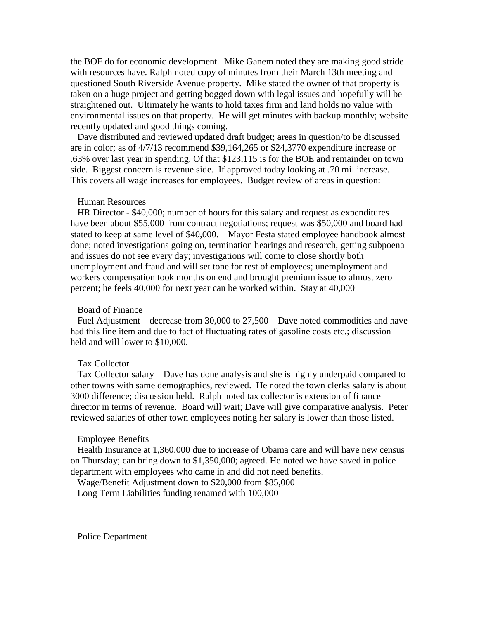the BOF do for economic development. Mike Ganem noted they are making good stride with resources have. Ralph noted copy of minutes from their March 13th meeting and questioned South Riverside Avenue property. Mike stated the owner of that property is taken on a huge project and getting bogged down with legal issues and hopefully will be straightened out. Ultimately he wants to hold taxes firm and land holds no value with environmental issues on that property. He will get minutes with backup monthly; website recently updated and good things coming.

Dave distributed and reviewed updated draft budget; areas in question/to be discussed are in color; as of 4/7/13 recommend \$39,164,265 or \$24,3770 expenditure increase or .63% over last year in spending. Of that \$123,115 is for the BOE and remainder on town side. Biggest concern is revenue side. If approved today looking at .70 mil increase. This covers all wage increases for employees. Budget review of areas in question:

#### Human Resources

HR Director - \$40,000; number of hours for this salary and request as expenditures have been about \$55,000 from contract negotiations; request was \$50,000 and board had stated to keep at same level of \$40,000. Mayor Festa stated employee handbook almost done; noted investigations going on, termination hearings and research, getting subpoena and issues do not see every day; investigations will come to close shortly both unemployment and fraud and will set tone for rest of employees; unemployment and workers compensation took months on end and brought premium issue to almost zero percent; he feels 40,000 for next year can be worked within. Stay at 40,000

### Board of Finance

Fuel Adjustment – decrease from 30,000 to 27,500 – Dave noted commodities and have had this line item and due to fact of fluctuating rates of gasoline costs etc.; discussion held and will lower to \$10,000.

#### Tax Collector

Tax Collector salary – Dave has done analysis and she is highly underpaid compared to other towns with same demographics, reviewed. He noted the town clerks salary is about 3000 difference; discussion held. Ralph noted tax collector is extension of finance director in terms of revenue. Board will wait; Dave will give comparative analysis. Peter reviewed salaries of other town employees noting her salary is lower than those listed.

#### Employee Benefits

Health Insurance at 1,360,000 due to increase of Obama care and will have new census on Thursday; can bring down to \$1,350,000; agreed. He noted we have saved in police department with employees who came in and did not need benefits.

Wage/Benefit Adjustment down to \$20,000 from \$85,000

Long Term Liabilities funding renamed with 100,000

Police Department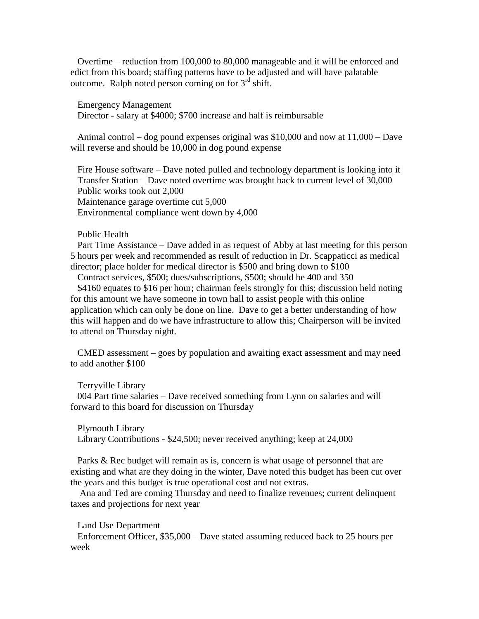Overtime – reduction from 100,000 to 80,000 manageable and it will be enforced and edict from this board; staffing patterns have to be adjusted and will have palatable outcome. Ralph noted person coming on for  $3<sup>rd</sup>$  shift.

Emergency Management Director - salary at \$4000; \$700 increase and half is reimbursable

Animal control – dog pound expenses original was \$10,000 and now at 11,000 – Dave will reverse and should be 10,000 in dog pound expense

Fire House software – Dave noted pulled and technology department is looking into it Transfer Station – Dave noted overtime was brought back to current level of 30,000 Public works took out 2,000 Maintenance garage overtime cut 5,000 Environmental compliance went down by 4,000

## Public Health

Part Time Assistance – Dave added in as request of Abby at last meeting for this person 5 hours per week and recommended as result of reduction in Dr. Scappaticci as medical director; place holder for medical director is \$500 and bring down to \$100

Contract services, \$500; dues/subscriptions, \$500; should be 400 and 350

\$4160 equates to \$16 per hour; chairman feels strongly for this; discussion held noting for this amount we have someone in town hall to assist people with this online application which can only be done on line. Dave to get a better understanding of how this will happen and do we have infrastructure to allow this; Chairperson will be invited to attend on Thursday night.

CMED assessment – goes by population and awaiting exact assessment and may need to add another \$100

Terryville Library

004 Part time salaries – Dave received something from Lynn on salaries and will forward to this board for discussion on Thursday

Plymouth Library Library Contributions - \$24,500; never received anything; keep at 24,000

Parks & Rec budget will remain as is, concern is what usage of personnel that are existing and what are they doing in the winter, Dave noted this budget has been cut over the years and this budget is true operational cost and not extras.

Ana and Ted are coming Thursday and need to finalize revenues; current delinquent taxes and projections for next year

Land Use Department

Enforcement Officer, \$35,000 – Dave stated assuming reduced back to 25 hours per week